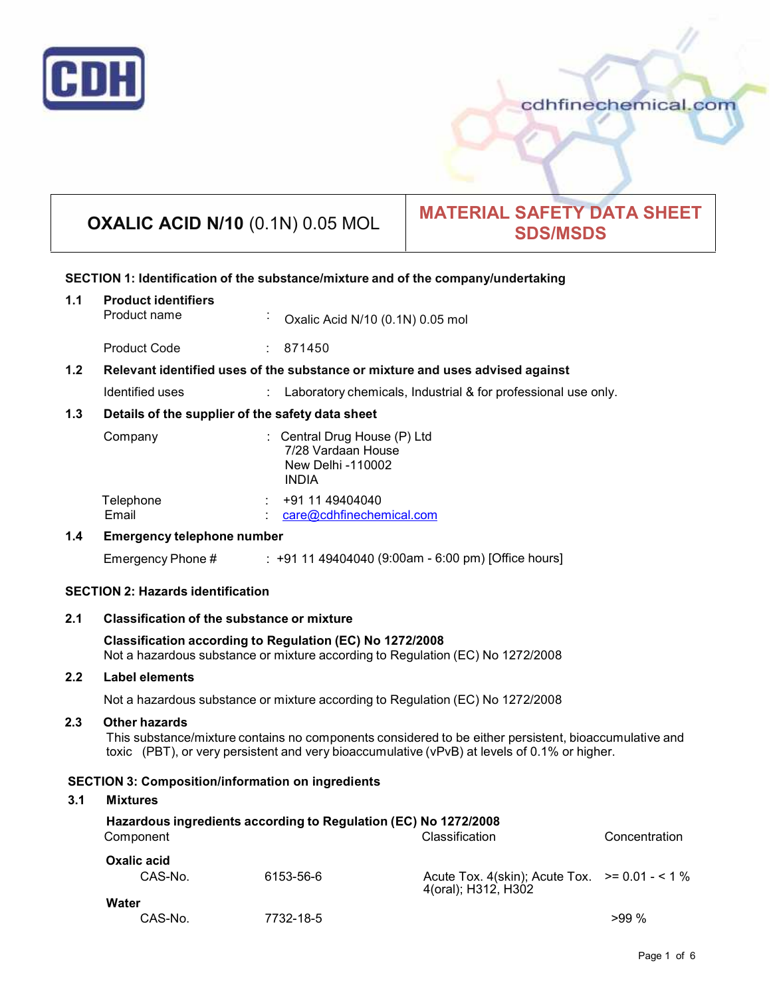

cdhfinechemical.com

# **OXALIC ACID N/10** (0.1N) 0.05 MOL **MATERIAL SAFETY DATA SHEET SDS/MSDS**

# **SECTION 1: Identification of the substance/mixture and of the company/undertaking**

| 1.1                                      | <b>Product identifiers</b><br>Product name                                                                                                 | Oxalic Acid N/10 (0.1N) 0.05 mol                                                        |                                                                                                                                                                                                       |               |
|------------------------------------------|--------------------------------------------------------------------------------------------------------------------------------------------|-----------------------------------------------------------------------------------------|-------------------------------------------------------------------------------------------------------------------------------------------------------------------------------------------------------|---------------|
|                                          | <b>Product Code</b>                                                                                                                        | : 871450                                                                                |                                                                                                                                                                                                       |               |
| 1.2                                      | Relevant identified uses of the substance or mixture and uses advised against                                                              |                                                                                         |                                                                                                                                                                                                       |               |
|                                          | Identified uses                                                                                                                            |                                                                                         | Laboratory chemicals, Industrial & for professional use only.                                                                                                                                         |               |
| 1.3                                      | Details of the supplier of the safety data sheet                                                                                           |                                                                                         |                                                                                                                                                                                                       |               |
|                                          | Company                                                                                                                                    | : Central Drug House (P) Ltd<br>7/28 Vardaan House<br>New Delhi -110002<br><b>INDIA</b> |                                                                                                                                                                                                       |               |
|                                          | Telephone<br>Email                                                                                                                         | +91 11 49404040<br>care@cdhfinechemical.com                                             |                                                                                                                                                                                                       |               |
| 1.4                                      | <b>Emergency telephone number</b>                                                                                                          |                                                                                         |                                                                                                                                                                                                       |               |
|                                          | Emergency Phone #                                                                                                                          |                                                                                         | $\div$ +91 11 49404040 (9:00am - 6:00 pm) [Office hours]                                                                                                                                              |               |
| <b>SECTION 2: Hazards identification</b> |                                                                                                                                            |                                                                                         |                                                                                                                                                                                                       |               |
| 2.1                                      | <b>Classification of the substance or mixture</b>                                                                                          |                                                                                         |                                                                                                                                                                                                       |               |
|                                          |                                                                                                                                            |                                                                                         |                                                                                                                                                                                                       |               |
|                                          | Classification according to Regulation (EC) No 1272/2008<br>Not a hazardous substance or mixture according to Regulation (EC) No 1272/2008 |                                                                                         |                                                                                                                                                                                                       |               |
| 2.2                                      | <b>Label elements</b>                                                                                                                      |                                                                                         |                                                                                                                                                                                                       |               |
|                                          | Not a hazardous substance or mixture according to Regulation (EC) No 1272/2008                                                             |                                                                                         |                                                                                                                                                                                                       |               |
| 2.3                                      | <b>Other hazards</b>                                                                                                                       |                                                                                         | This substance/mixture contains no components considered to be either persistent, bioaccumulative and<br>toxic (PBT), or very persistent and very bioaccumulative (vPvB) at levels of 0.1% or higher. |               |
|                                          | <b>SECTION 3: Composition/information on ingredients</b>                                                                                   |                                                                                         |                                                                                                                                                                                                       |               |
| 3.1                                      | <b>Mixtures</b>                                                                                                                            |                                                                                         |                                                                                                                                                                                                       |               |
|                                          | Hazardous ingredients according to Regulation (EC) No 1272/2008<br>Component                                                               |                                                                                         | Classification                                                                                                                                                                                        | Concentration |
|                                          | <b>Oxalic acid</b><br>CAS-No.                                                                                                              | 6153-56-6                                                                               | Acute Tox. 4(skin); Acute Tox. $> = 0.01 - 1\%$<br>4(oral); H312, H302                                                                                                                                |               |

CAS-No. 7732-18-5 >99 %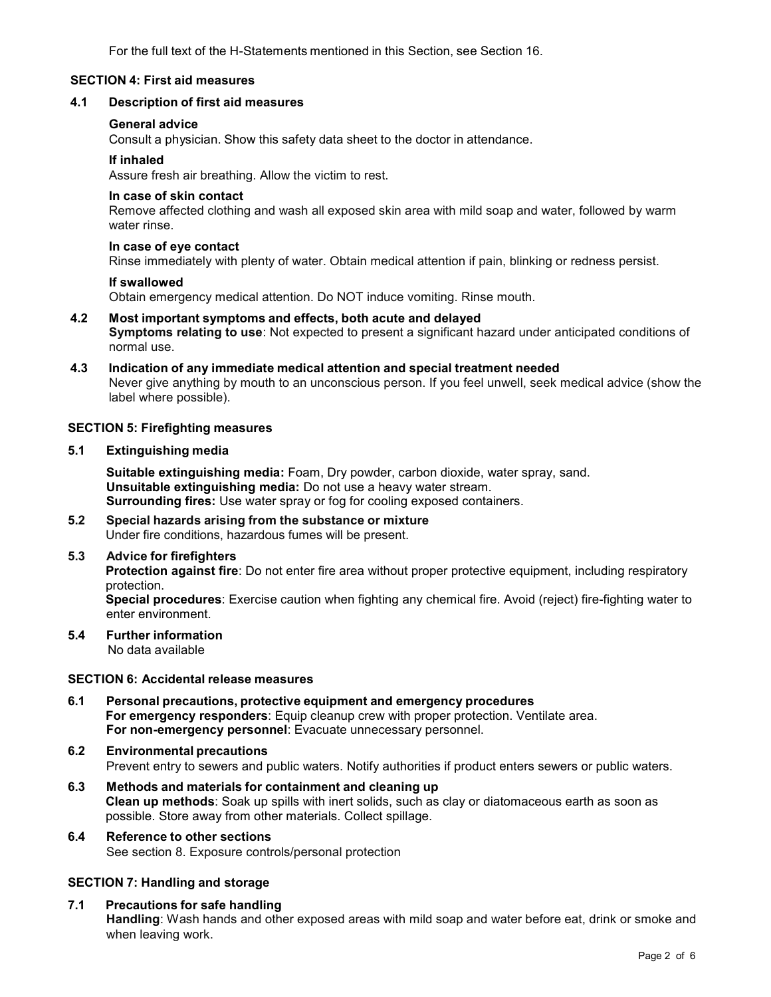For the full text of the H-Statements mentioned in this Section, see Section 16.

# **SECTION 4: First aid measures**

# **4.1 Description of first aid measures**

#### **General advice**

Consult a physician. Show this safety data sheet to the doctor in attendance.

#### **If inhaled**

Assure fresh air breathing. Allow the victim to rest.

#### **In case of skin contact**

Remove affected clothing and wash all exposed skin area with mild soap and water, followed by warm water rinse.

#### **In case of eye contact**

Rinse immediately with plenty of water. Obtain medical attention if pain, blinking or redness persist.

#### **If swallowed**

Obtain emergency medical attention. Do NOT induce vomiting. Rinse mouth.

- **4.2 Most important symptoms and effects, both acute and delayed Symptoms relating to use**: Not expected to present a significant hazard under anticipated conditions of normal use.
- **4.3 Indication of any immediate medical attention and special treatment needed** Never give anything by mouth to an unconscious person. If you feel unwell, seek medical advice (show the label where possible).

#### **SECTION 5: Firefighting measures**

**5.1 Extinguishing media**

**Suitable extinguishing media:** Foam, Dry powder, carbon dioxide, water spray, sand. **Unsuitable extinguishing media:** Do not use a heavy water stream. **Surrounding fires:** Use water spray or fog for cooling exposed containers.

**5.2 Special hazards arising from the substance ormixture** Under fire conditions, hazardous fumes will be present.

#### **5.3 Advice for firefighters**

**Protection against fire**: Do not enter fire area without proper protective equipment, including respiratory protection.

**Special procedures**: Exercise caution when fighting any chemical fire. Avoid (reject) fire-fighting water to enter environment.

# **5.4 Further information**

No data available

# **SECTION 6: Accidental release measures**

- **6.1 Personal precautions, protective equipment and emergency procedures For emergency responders**: Equip cleanup crew with proper protection. Ventilate area. **For non-emergency personnel**: Evacuate unnecessary personnel.
- **6.2 Environmental precautions** Prevent entry to sewers and public waters. Notify authorities if product enters sewers or public waters.
- **6.3 Methods and materials for containment and cleaning up Clean up methods**: Soak up spills with inert solids, such as clay or diatomaceous earth as soon as possible. Store away from other materials. Collect spillage.

# **6.4 Reference to other sections** See section 8. Exposure controls/personal protection

# **SECTION 7: Handling and storage**

**7.1 Precautions for safe handling Handling**: Wash hands and other exposed areas with mild soap and water before eat, drink or smoke and when leaving work.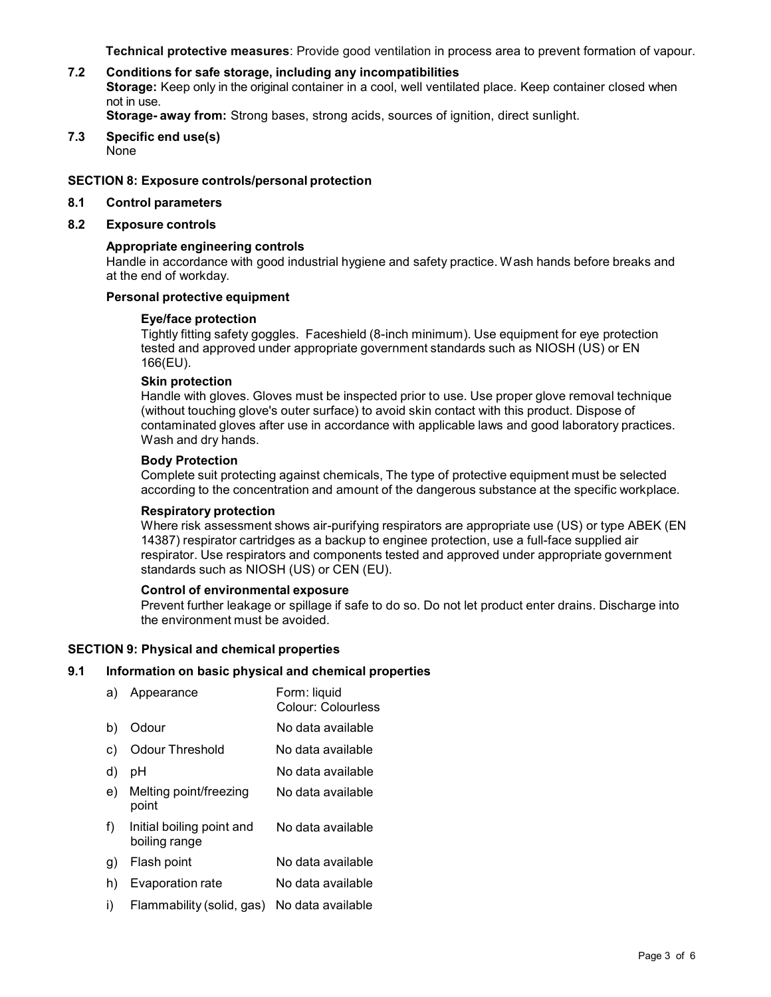**Technical protective measures**: Provide good ventilation in process area to prevent formation of vapour.

#### **7.2 Conditions for safe storage, including any incompatibilities Storage:** Keep only in the original container in a cool, well ventilated place. Keep container closed when not in use. **Storage- away from:** Strong bases, strong acids, sources of ignition, direct sunlight.

**7.3 Specific end use(s)** None

# **SECTION 8: Exposure controls/personal protection**

- **8.1 Control parameters**
- **8.2 Exposure controls**

# **Appropriate engineering controls**

Handle in accordance with good industrial hygiene and safety practice. Wash hands before breaks and at the end of workday.

# **Personal protective equipment**

# **Eye/face protection**

Tightly fitting safety goggles. Faceshield (8-inch minimum). Use equipment for eye protection tested and approved under appropriate government standards such as NIOSH (US) or EN 166(EU).

# **Skin protection**

Handle with gloves. Gloves must be inspected prior to use. Use proper glove removal technique (without touching glove's outer surface) to avoid skin contact with this product. Dispose of contaminated gloves after use in accordance with applicable laws and good laboratory practices. Wash and dry hands.

# **Body Protection**

Complete suit protecting against chemicals, The type of protective equipment must be selected according to the concentration and amount of the dangerous substance at the specific workplace.

#### **Respiratory protection**

Where risk assessment shows air-purifying respirators are appropriate use (US) or type ABEK (EN 14387) respirator cartridges as a backup to enginee protection, use a full-face supplied air respirator. Use respirators and components tested and approved under appropriate government standards such as NIOSH (US) or CEN (EU).

# **Control of environmental exposure**

Prevent further leakage or spillage if safe to do so. Do not let product enter drains. Discharge into the environment must be avoided.

# **SECTION 9: Physical and chemical properties**

# **9.1 Information on basic physical and chemical properties**

| a) | Appearance                                 | Form: liquid<br><b>Colour: Colourless</b> |
|----|--------------------------------------------|-------------------------------------------|
| b) | Odour                                      | No data available                         |
| C) | <b>Odour Threshold</b>                     | No data available                         |
| d) | рH                                         | No data available                         |
| e) | Melting point/freezing<br>point            | No data available                         |
| f) | Initial boiling point and<br>boiling range | No data available                         |
| g) | Flash point                                | No data available                         |
| h) | Evaporation rate                           | No data available                         |
| i) | Flammability (solid, gas)                  | No data available                         |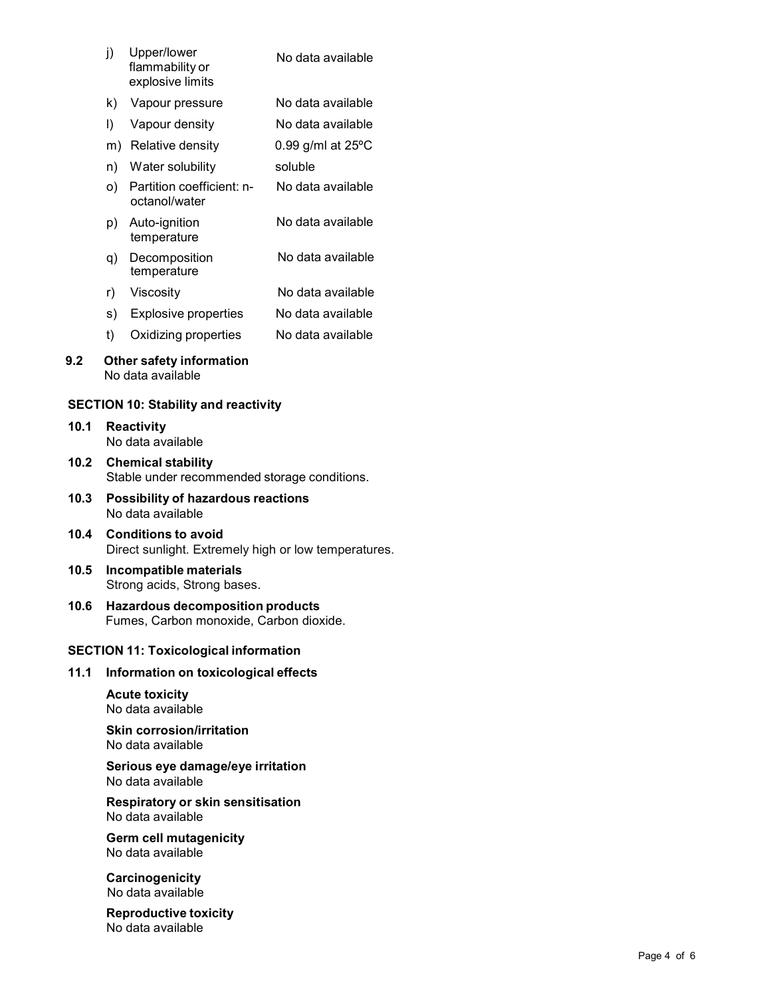| j) | Upper/lower<br>flammability or<br>explosive limits                                 | No data available             |  |             |
|----|------------------------------------------------------------------------------------|-------------------------------|--|-------------|
| k) | Vapour pressure                                                                    | No data available             |  |             |
| I) | Vapour density                                                                     | No data available             |  |             |
| m) | Relative density                                                                   | $0.99$ g/ml at $25^{\circ}$ C |  |             |
| n) | Water solubility                                                                   | soluble                       |  |             |
| O) | Partition coefficient: n-<br>octanol/water                                         | No data available             |  |             |
| p) | Auto-ignition<br>temperature                                                       | No data available             |  |             |
| q) | Decomposition<br>temperature                                                       | No data available             |  |             |
| r) | Viscosity                                                                          | No data available             |  |             |
| s) | <b>Explosive properties</b>                                                        | No data available             |  |             |
| t) | Oxidizing properties                                                               | No data available             |  |             |
|    | Other safety information<br>No data available                                      |                               |  |             |
|    | ON 10: Stability and reactivity                                                    |                               |  |             |
|    | <b>Reactivity</b><br>No data available                                             |                               |  |             |
|    | <b>Chemical stability</b>                                                          |                               |  |             |
|    | Stable under recommended storage conditions.                                       |                               |  |             |
|    | Possibility of hazardous reactions<br>No data available                            |                               |  |             |
|    | <b>Conditions to avoid</b><br>Direct sunlight. Extremely high or low temperatures. |                               |  |             |
|    | Incompatible materials<br>Strong acids, Strong bases.                              |                               |  |             |
|    | <b>Hazardous decomposition products</b><br>Fumes, Carbon monoxide, Carbon dioxide. |                               |  |             |
|    | <b>ON 11: Toxicological information</b>                                            |                               |  |             |
|    | Information on toxicological effects                                               |                               |  |             |
|    | <b>Acute toxicity</b><br>No data available                                         |                               |  |             |
|    | <b>Skin corrosion/irritation</b><br>No data available                              |                               |  |             |
|    | Serious eye damage/eye irritation<br>No data available                             |                               |  |             |
|    | <b>Respiratory or skin sensitisation</b><br>No data available                      |                               |  |             |
|    | <b>Germ cell mutagenicity</b><br>No data available                                 |                               |  |             |
|    | Carcinogenicity<br>No data available                                               |                               |  |             |
|    | <b>Reproductive toxicity</b><br>No data available                                  |                               |  |             |
|    |                                                                                    |                               |  | Page 4 of 6 |

- k) Vapour pressure No data available
- l) Vapour density No data available
- m) Relative density 0.99 g/ml at 25ºC
- n) Water solubility soluble
- o) Partition coefficient: n octanol/water No data available
- p) Auto-ignition temperature No data available
- q) Decomposition temperature No data available
- r) Viscosity No data available
- s) Explosive properties No data available
- t) Oxidizing properties No data available

#### **9.2 Other safety information** No data available

# **SECTION 10: Stability and reactivity**

- **10.1 Reactivity** No data available
- **10.2 Chemical stability** Stable under recommended storage conditions.
- **10.3 Possibility of hazardous reactions** No data available
- **10.4 Conditions to avoid** Direct sunlight. Extremely high or low temperatures.
- **10.5 Incompatible materials** Strong acids, Strong bases.
- **10.6 Hazardous decomposition products** Fumes, Carbon monoxide, Carbon dioxide.

# **SECTION 11: Toxicological information**

# **11.1 Information on toxicological effects**

#### **Skin corrosion/irritation** No data available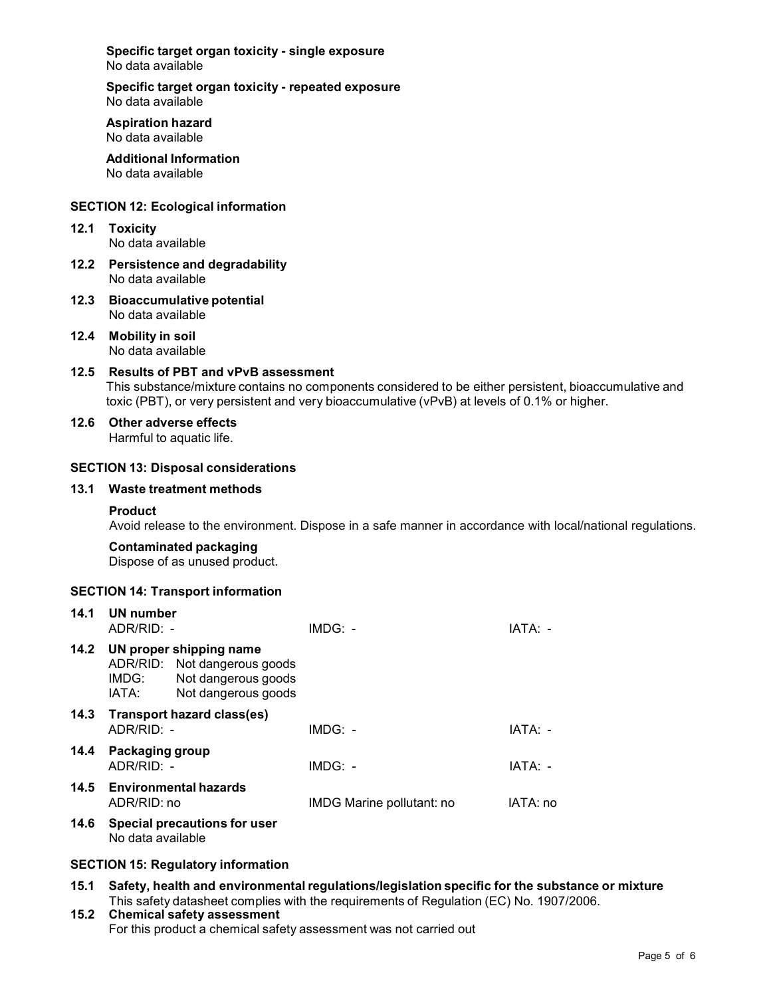**Specific target organ toxicity - single exposure** No data available

**Specific target organ toxicity - repeated exposure** No data available

**Aspiration hazard** No data available

**Additional Information** No data available

#### **SECTION 12: Ecological information**

**12.1 Toxicity**

No data available

- **12.2 Persistence and degradability** No data available
- **12.3 Bioaccumulative potential** No data available
- **12.4 Mobility in soil** No data available
- **12.5 Results of PBT and vPvB assessment** This substance/mixture contains no components considered to be either persistent, bioaccumulative and toxic (PBT), or very persistent and very bioaccumulative (vPvB) at levels of 0.1% or higher.
- **12.6 Other adverse effects** Harmful to aquatic life.

#### **SECTION 13: Disposal considerations**

#### **13.1 Waste treatment methods**

#### **Product**

Avoid release to the environment. Dispose in a safe manner in accordance with local/national regulations.

**Contaminated packaging**

Dispose of as unused product.

# **SECTION 14: Transport information**

| 14.1 | UN number<br>ADR/RID: -       |                                                                                                       | $IMDG: -$                 | IATA: -  |
|------|-------------------------------|-------------------------------------------------------------------------------------------------------|---------------------------|----------|
| 14.2 | IMDG:<br>IATA:                | UN proper shipping name<br>ADR/RID: Not dangerous goods<br>Not dangerous goods<br>Not dangerous goods |                           |          |
| 14.3 | ADR/RID: -                    | Transport hazard class(es)                                                                            | $IMDG: -$                 | IATA: -  |
| 14.4 | Packaging group<br>ADR/RID: - |                                                                                                       | $IMDG: -$                 | IATA: -  |
|      | ADR/RID: no                   | 14.5 Environmental hazards                                                                            | IMDG Marine pollutant: no | IATA: no |
| 14.6 | No data available             | Special precautions for user                                                                          |                           |          |

# **SECTION 15: Regulatory information**

- **15.1 Safety, health and environmental regulations/legislation specific for the substance ormixture** This safety datasheet complies with the requirements of Regulation (EC) No. 1907/2006.
- **15.2 Chemical safety assessment** For this product a chemical safety assessment was not carried out